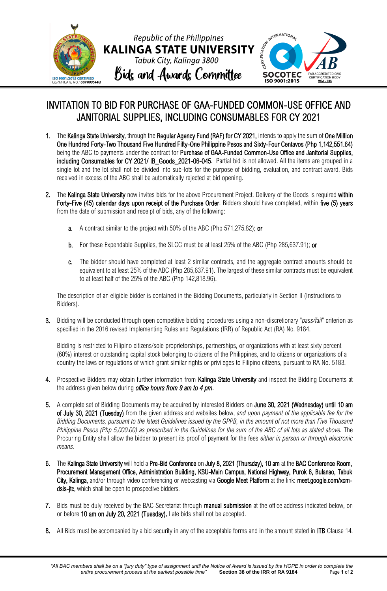

## INVITATION TO BID FOR PURCHASE OF GAA-FUNDED COMMON-USE OFFICE AND JANITORIAL SUPPLIES, INCLUDING CONSUMABLES FOR CY 2021

- 1. The Kalinga State University, through the Regular Agency Fund (RAF) for CY 2021, intends to apply the sum of One Million One Hundred Forty-Two Thousand Five Hundred Fifty-One Philippine Pesos and Sixty-Four Centavos (Php 1,142,551.64) being the ABC to payments under the contract for Purchase of GAA-Funded Common-Use Office and Janitorial Supplies, including Consumables for CY 2021/ IB\_Goods\_2021-06-045*.* Partial bid is not allowed. All the items are grouped in a single lot and the lot shall not be divided into sub-lots for the purpose of bidding, evaluation, and contract award. Bids received in excess of the ABC shall be automatically rejected at bid opening.
- 2. The Kalinga State University now invites bids for the above Procurement Project. Delivery of the Goods is required within Forty-Five (45) calendar days upon receipt of the Purchase Order. Bidders should have completed, within five (5) years from the date of submission and receipt of bids, any of the following:
	- a. A contract similar to the project with 50% of the ABC (Php 571,275.82); or
	- b. For these Expendable Supplies, the SLCC must be at least 25% of the ABC (Php 285,637.91); or
	- c. The bidder should have completed at least 2 similar contracts, and the aggregate contract amounts should be equivalent to at least 25% of the ABC (Php 285,637.91). The largest of these similar contracts must be equivalent to at least half of the 25% of the ABC (Php 142,818.96).

The description of an eligible bidder is contained in the Bidding Documents, particularly in Section II (Instructions to Bidders).

3. Bidding will be conducted through open competitive bidding procedures using a non-discretionary "*pass/fail*" criterion as specified in the 2016 revised Implementing Rules and Regulations (IRR) of Republic Act (RA) No. 9184.

Bidding is restricted to Filipino citizens/sole proprietorships, partnerships, or organizations with at least sixty percent (60%) interest or outstanding capital stock belonging to citizens of the Philippines, and to citizens or organizations of a country the laws or regulations of which grant similar rights or privileges to Filipino citizens, pursuant to RA No. 5183.

- 4. Prospective Bidders may obtain further information from Kalinga State University and inspect the Bidding Documents at the address given below during *office hours from 9 am to 4 pm*.
- 5. A complete set of Bidding Documents may be acquired by interested Bidders on June 30, 2021 (Wednesday) until 10 am of July 30, 2021 (Tuesday) from the given address and websites below, *and upon payment of the applicable fee for the Bidding Documents, pursuant to the latest Guidelines issued by the GPPB, in the amount of not more than Five Thousand Philippine Pesos (Php 5,000.00) as prescribed in the Guidelines for the sum of the ABC of all lots as stated above.* The Procuring Entity shall allow the bidder to present its proof of payment for the fees *either in person or through electronic means.*
- 6. The Kalinga State University will hold a Pre-Bid Conference on July 8, 2021 (Thursday), 10 am at the BAC Conference Room, Procurement Management Office, Administration Building, KSU-Main Campus, National Highway, Purok 6, Bulanao, Tabuk City, Kalinga, and/or through video conferencing or webcasting via Google Meet Platform at the link: meet.google.com/xcmdsis-itc, which shall be open to prospective bidders.
- 7. Bids must be duly received by the BAC Secretariat through manual submission at the office address indicated below, on or before 10 am on July 20, 2021 (Tuesday). Late bids shall not be accepted.
- 8. All Bids must be accompanied by a bid security in any of the acceptable forms and in the amount stated in ITB Clause 14.